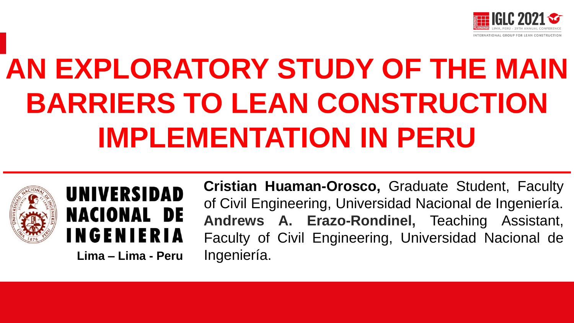

# **AN EXPLORATORY STUDY OF THE MAIN BARRIERS TO LEAN CONSTRUCTION IMPLEMENTATION IN PERU**





**Lima – Lima - Peru** Ingeniería.

**Cristian Huaman-Orosco,** Graduate Student, Faculty of Civil Engineering, Universidad Nacional de Ingeniería. **Andrews A. Erazo-Rondinel,** Teaching Assistant, Faculty of Civil Engineering, Universidad Nacional de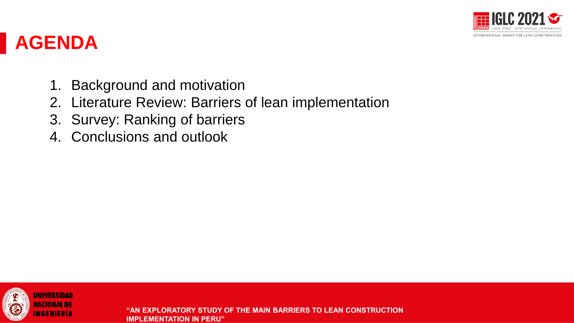

### **AGENDA**

- 1. Background and motivation
- 2. Literature Review: Barriers of lean implementation
- 3. Survey: Ranking of barriers
- 4. Conclusions and outlook

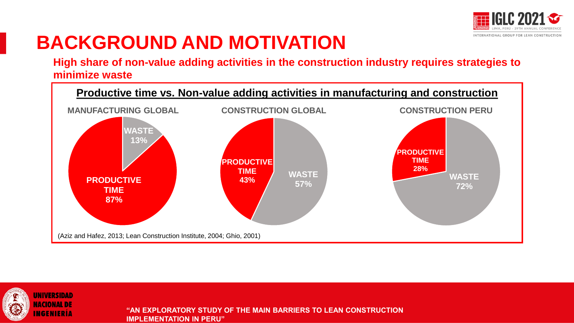

## **BACKGROUND AND MOTIVATION**

**High share of non-value adding activities in the construction industry requires strategies to minimize waste** 



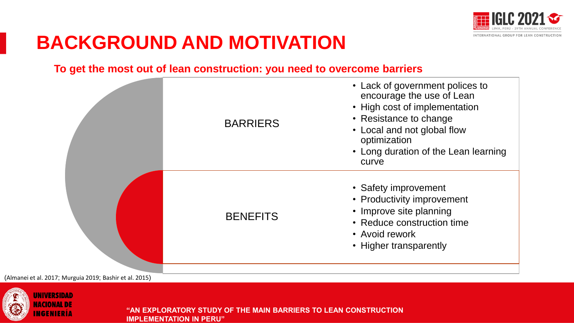

## **BACKGROUND AND MOTIVATION**

#### **To get the most out of lean construction: you need to overcome barriers**



(Almanei et al. 2017; Murguia 2019; Bashir et al. 2015)

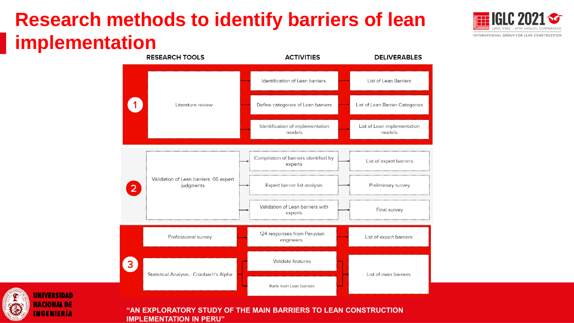## **Research methods to identify barriers of lean implementation**





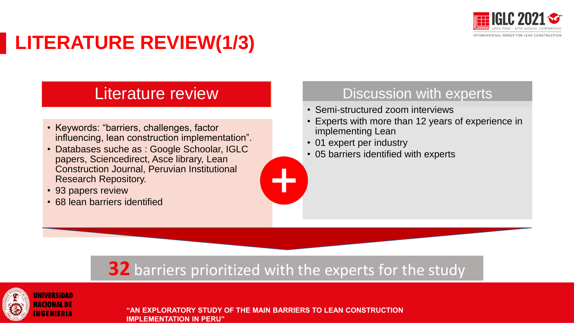

## **LITERATURE REVIEW(1/3)**

### Literature review

- Keywords: "barriers, challenges, factor influencing, lean construction implementation".
- Databases suche as : Google Schoolar, IGLC papers, Sciencedirect, Asce library, Lean Construction Journal, Peruvian Institutional Research Repository.
- 93 papers review
- 68 lean barriers identified

### Discussion with experts

- Semi-structured zoom interviews
- Experts with more than 12 years of experience in implementing Lean
- 01 expert per industry
- 05 barriers identified with experts

### **32** barriers prioritized with the experts for the study

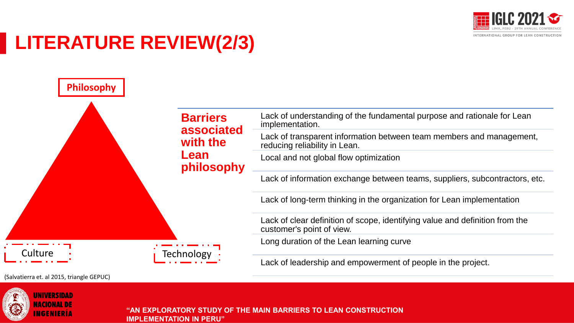

## **LITERATURE REVIEW(2/3)**



(Salvatierra et. al 2015, triangle GEPUC)

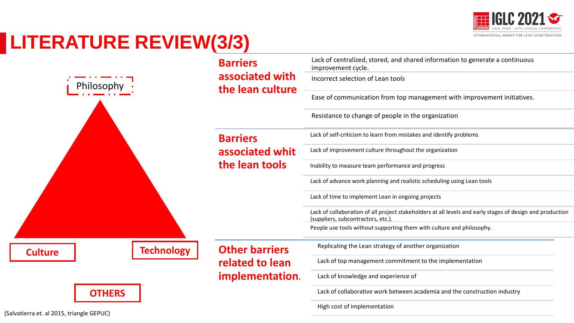

## **LITERATURE REVIEW(3/3)**

|                                       | <b>Barriers</b>                     | Lack of centralized, stored, and shared information to generate a continuous<br>improvement cycle.                                              |  |  |
|---------------------------------------|-------------------------------------|-------------------------------------------------------------------------------------------------------------------------------------------------|--|--|
| Philosophy                            | associated with<br>the lean culture | Incorrect selection of Lean tools                                                                                                               |  |  |
|                                       |                                     | Ease of communication from top management with improvement initiatives.                                                                         |  |  |
|                                       |                                     | Resistance to change of people in the organization                                                                                              |  |  |
|                                       | <b>Barriers</b>                     | Lack of self-criticism to learn from mistakes and identify problems                                                                             |  |  |
|                                       | associated whit                     | Lack of improvement culture throughout the organization                                                                                         |  |  |
|                                       | the lean tools                      | Inability to measure team performance and progress                                                                                              |  |  |
|                                       |                                     | Lack of advance work planning and realistic scheduling using Lean tools                                                                         |  |  |
|                                       |                                     | Lack of time to implement Lean in ongoing projects                                                                                              |  |  |
|                                       |                                     | Lack of collaboration of all project stakeholders at all levels and early stages of design and production<br>(suppliers, subcontractors, etc.). |  |  |
|                                       |                                     | People use tools without supporting them with culture and philosophy.                                                                           |  |  |
| <b>Technology</b><br><b>Culture</b>   | <b>Other barriers</b>               | Replicating the Lean strategy of another organization                                                                                           |  |  |
|                                       | related to lean                     | Lack of top management commitment to the implementation                                                                                         |  |  |
|                                       | implementation.                     | Lack of knowledge and experience of                                                                                                             |  |  |
| <b>OTHERS</b>                         |                                     | Lack of collaborative work between academia and the construction industry                                                                       |  |  |
| atierra et  al 2015  triangle GFPLIC) |                                     | High cost of implementation                                                                                                                     |  |  |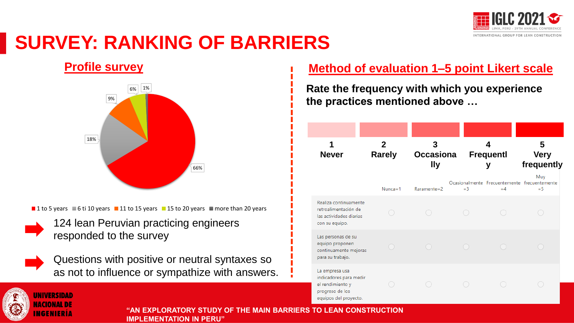

### **SURVEY: RANKING OF BARRIERS**

#### **Profile survey**



**1** 1 to 5 years  $\blacksquare$  6 ti 10 years  $\blacksquare$  11 to 15 years  $\blacksquare$  15 to 20 years  $\blacksquare$  more than 20 years

124 lean Peruvian practicing engineers responded to the survey



Questions with positive or neutral syntaxes so as not to influence or sympathize with answers.

#### **Method of evaluation 1–5 point Likert scale**

**Rate the frequency with which you experience the practices mentioned above …**

| 1<br><b>Never</b>                                                                                        | $\overline{2}$<br><b>Rarely</b> | 3<br><b>Occasiona</b><br><b>Ily</b> |       | 4<br><b>Frequentl</b><br>У | 5<br><b>Very</b><br>frequently                               |
|----------------------------------------------------------------------------------------------------------|---------------------------------|-------------------------------------|-------|----------------------------|--------------------------------------------------------------|
|                                                                                                          | $N$ unca=1                      | Raramente=2                         | $=$ 3 | $=4$                       | Muy<br>Ocasionalmente Frecuentemente frecuentemente<br>$=$ 5 |
| Realiza continuamente<br>retroalimentación de<br>las actividades diarias<br>con su equipo.               |                                 |                                     |       |                            |                                                              |
| Las personas de su<br>equipo proponen<br>continuamente mejoras<br>para su trabajo.                       |                                 |                                     |       |                            |                                                              |
| La empresa usa<br>indicadores para medir<br>el rendimiento y<br>progreso de los<br>equipos del proyecto. |                                 |                                     |       |                            |                                                              |

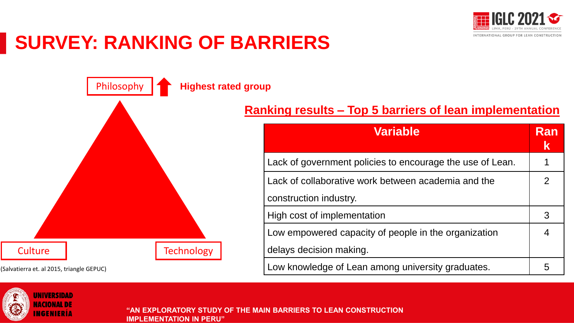

## **SURVEY: RANKING OF BARRIERS**



#### **Ranking results – Top 5 barriers of lean implementation**

| <b>Variable</b>                                           | Ran<br>$\mathbf k$ |
|-----------------------------------------------------------|--------------------|
| Lack of government policies to encourage the use of Lean. | 1                  |
| Lack of collaborative work between academia and the       | 2                  |
| construction industry.                                    |                    |
| High cost of implementation                               | 3                  |
| Low empowered capacity of people in the organization      | $\overline{4}$     |
| delays decision making.                                   |                    |
| Low knowledge of Lean among university graduates.         | 5                  |

(Salvatierra et. al 2015, triangle GEPUC)

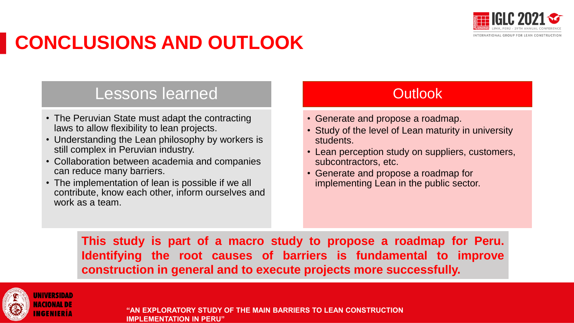

## **CONCLUSIONS AND OUTLOOK**

### Lessons learned

- The Peruvian State must adapt the contracting laws to allow flexibility to lean projects.
- Understanding the Lean philosophy by workers is still complex in Peruvian industry.
- Collaboration between academia and companies can reduce many barriers.
- The implementation of lean is possible if we all contribute, know each other, inform ourselves and work as a team.

### **Outlook**

- Generate and propose a roadmap.
- Study of the level of Lean maturity in university students.
- Lean perception study on suppliers, customers, subcontractors, etc.
- Generate and propose a roadmap for implementing Lean in the public sector.

**This study is part of a macro study to propose a roadmap for Peru. Identifying the root causes of barriers is fundamental to improve construction in general and to execute projects more successfully.**

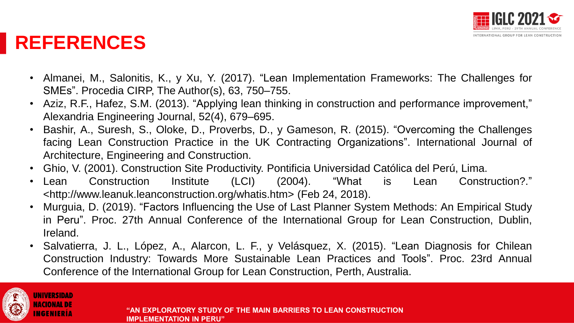

### **REFERENCES**

- Almanei, M., Salonitis, K., y Xu, Y. (2017). "Lean Implementation Frameworks: The Challenges for SMEs". Procedia CIRP, The Author(s), 63, 750–755.
- Aziz, R.F., Hafez, S.M. (2013). "Applying lean thinking in construction and performance improvement," Alexandria Engineering Journal, 52(4), 679–695.
- Bashir, A., Suresh, S., Oloke, D., Proverbs, D., y Gameson, R. (2015). "Overcoming the Challenges facing Lean Construction Practice in the UK Contracting Organizations". International Journal of Architecture, Engineering and Construction.
- Ghio, V. (2001). Construction Site Productivity. Pontificia Universidad Católica del Perú, Lima.
- Lean Construction Institute (LCI) (2004). "What is Lean Construction?." <http://www.leanuk.leanconstruction.org/whatis.htm> (Feb 24, 2018).
- Murguia, D. (2019). "Factors Influencing the Use of Last Planner System Methods: An Empirical Study in Peru". Proc. 27th Annual Conference of the International Group for Lean Construction, Dublin, Ireland.
- Salvatierra, J. L., López, A., Alarcon, L. F., y Velásquez, X. (2015). "Lean Diagnosis for Chilean Construction Industry: Towards More Sustainable Lean Practices and Tools". Proc. 23rd Annual Conference of the International Group for Lean Construction, Perth, Australia.